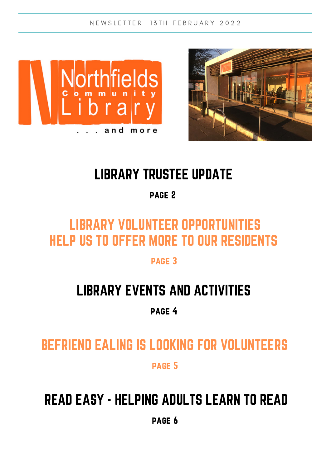N E W S L E T T E R 13 T H F E B R U A R Y 2022





## LIBRARY TRUSTEE UPDATE

page 2

## LIBRARY VOLUNTEER OPPORTUNITIES HELP US TO OFFER MORE TO OUR RESIDENTS

page 3

## LIBRARY EVENTS AND ACTIVITIES

page 4

BEFRIEND EALING IS LOOKING FOR VOLUNTEERS

page 5

## READ EASY - HELPING ADULTS LEARN TO READ

page 6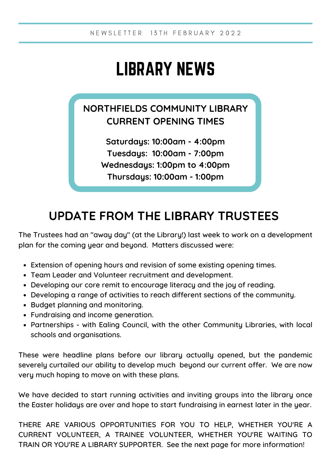# LIBRARY NEWS

### **NORTHFIELDS COMMUNITY LIBRARY CURRENT OPENING TIMES**

**Saturdays: 10:00am - 4:00pm Tuesdays: 10:00am - 7:00pm Wednesdays: 1:00pm to 4:00pm Thursdays: 10:00am - 1:00pm**

### **UPDATE FROM THE LIBRARY TRUSTEES**

The Trustees had an "away day" (at the Library!) last week to work on a development plan for the coming year and beyond. Matters discussed were:

- Extension of opening hours and revision of some existing opening times.
- Team Leader and Volunteer recruitment and development.
- Developing our core remit to encourage literacy and the joy of reading.
- Developing a range of activities to reach different sections of the community.
- Budget planning and monitoring.
- Fundraising and income generation.
- Partnerships with Ealing Council, with the other Community Libraries, with local schools and organisations.

These were headline plans before our library actually opened, but the pandemic severely curtailed our ability to develop much beyond our current offer. We are now very much hoping to move on with these plans.

We have decided to start running activities and inviting groups into the library once the Easter holidays are over and hope to start fundraising in earnest later in the year.

THERE ARE VARIOUS OPPORTUNITIES FOR YOU TO HELP, WHETHER YOU'RE A CURRENT VOLUNTEER, A TRAINEE VOLUNTEER, WHETHER YOU'RE WAITING TO TRAIN OR YOU'RE A LIBRARY SUPPORTER. See the next page for more information!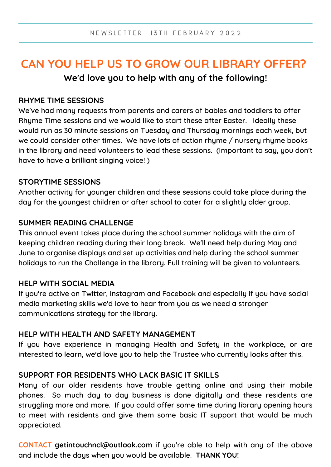### **CAN YOU HELP US TO GROW OUR LIBRARY OFFER? We'd love you to help with any of the following!**

#### **RHYME TIME SESSIONS**

We've had many requests from parents and carers of babies and toddlers to offer Rhyme Time sessions and we would like to start these after Easter. Ideally these would run as 30 minute sessions on Tuesday and Thursday mornings each week, but we could consider other times. We have lots of action rhyme / nursery rhyme books in the library and need volunteers to lead these sessions. (Important to say, you don't have to have a brilliant singing voice! )

#### **STORYTIME SESSIONS**

Another activity for younger children and these sessions could take place during the day for the youngest children or after school to cater for a slightly older group.

#### **SUMMER READING CHALLENGE**

This annual event takes place during the school summer holidays with the aim of keeping children reading during their long break. We'll need help during May and June to organise displays and set up activities and help during the school summer holidays to run the Challenge in the library. Full training will be given to volunteers.

#### **HELP WITH SOCIAL MEDIA**

If you're active on Twitter, Instagram and Facebook and especially if you have social media marketing skills we'd love to hear from you as we need a stronger communications strategy for the library.

#### **HELP WITH HEALTH AND SAFETY MANAGEMENT**

If you have experience in managing Health and Safety in the workplace, or are interested to learn, we'd love you to help the Trustee who currently looks after this.

#### **SUPPORT FOR RESIDENTS WHO LACK BASIC IT SKILLS**

Many of our older residents have trouble getting online and using their mobile phones. So much day to day business is done digitally and these residents are struggling more and more. If you could offer some time during library opening hours to meet with residents and give them some basic IT support that would be much appreciated.

**CONTACT [getintouchncl@outlook.com](mailto:getintouchncl@outlook.com)** if you're able to help with any of the above and include the days when you would be available. **THANK YOU!**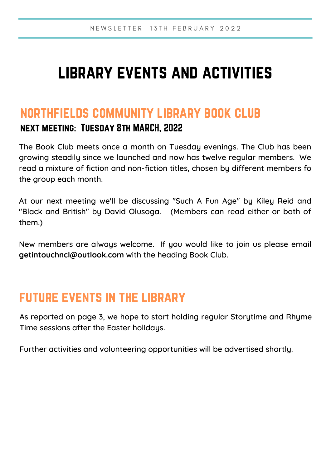## library events and activities

### northfields community library book club next meeting: Tuesday 8th MARCH, 2022

The Book Club meets once a month on Tuesday evenings. The Club has been growing steadily since we launched and now has twelve regular members. We read a mixture of fiction and non-fiction titles, chosen by different members fo the group each month.

At our next meeting we'll be discussing "Such A Fun Age" by Kiley Reid and "Black and British" by David Olusoga. (Members can read either or both of them.)

New members are always welcome. If you would like to join us please email **getintouchncl@outlook.com** with the heading Book Club.

### future events in the library

As reported on page 3, we hope to start holding regular Storytime and Rhyme Time sessions after the Easter holidays.

Further activities and volunteering opportunities will be advertised shortly.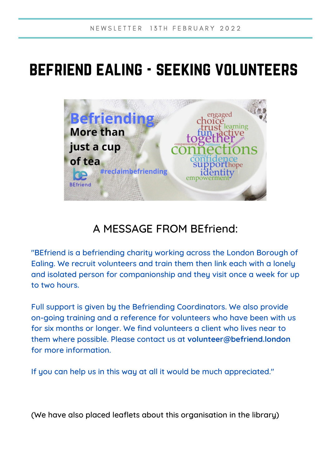## befriend ealing - seeking volunteers



### A MESSAGE FROM BEfriend:

"BEfriend is a befriending charity working across the London Borough of Ealing. We recruit volunteers and train them then link each with a lonely and isolated person for companionship and they visit once a week for up to two hours.

Full support is given by the Befriending Coordinators. We also provide on-going training and a reference for volunteers who have been with us for six months or longer. We find volunteers a client who lives near to them where possible. Please contact us at **[volunteer@befriend.london](mailto:volunteer@befriend.london)** for more information.

If you can help us in this way at all it would be much appreciated."

(We have also placed leaflets about this organisation in the library)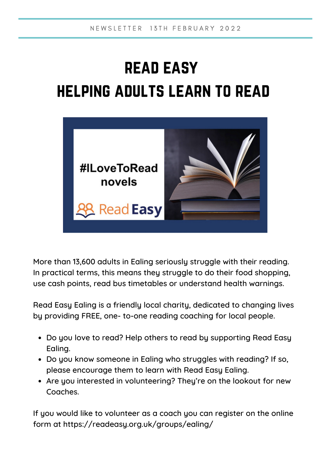# read easy helping adults learn to read



More than 13,600 adults in Ealing seriously struggle with their reading. In practical terms, this means they struggle to do their food shopping, use cash points, read bus timetables or understand health warnings.

Read Easy Ealing is a friendly local charity, dedicated to changing lives by providing FREE, one- to-one reading coaching for local people.

- Do you love to read? Help others to read by supporting Read Easy Ealing.
- Do you know someone in Ealing who struggles with reading? If so, please encourage them to learn with Read Easy Ealing.
- Are you interested in volunteering? They're on the lookout for new Coaches.

If you would like to volunteer as a coach you can register on the online form at <https://readeasy.org.uk/groups/ealing/>